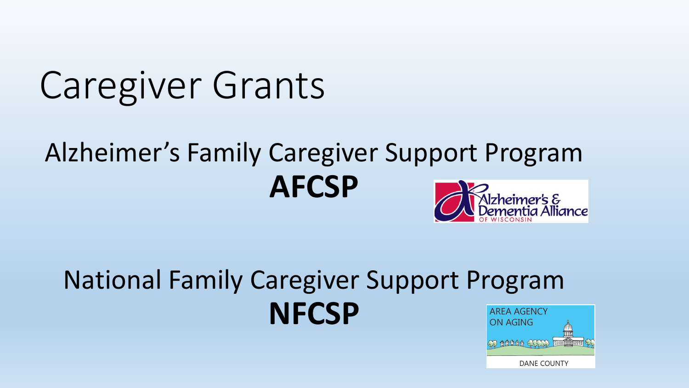# Caregiver Grants

#### Alzheimer's Family Caregiver Support Program **AFCSP** .<br>Alzheimer's &<br>Dementia Alliance

#### National Family Caregiver Support Program **NFCSPAREA AGENCY** ON AGING

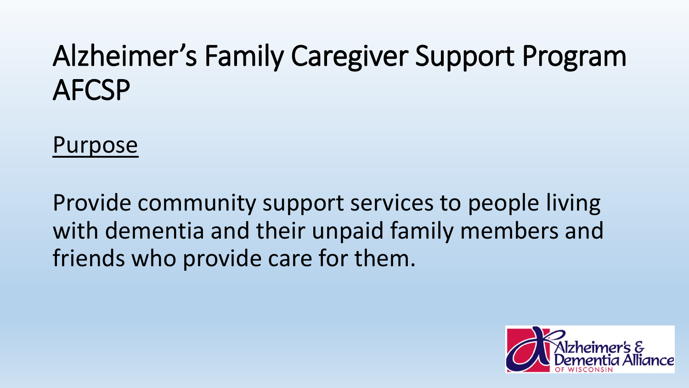Purpose

Provide community support services to people living with dementia and their unpaid family members and friends who provide care for them.

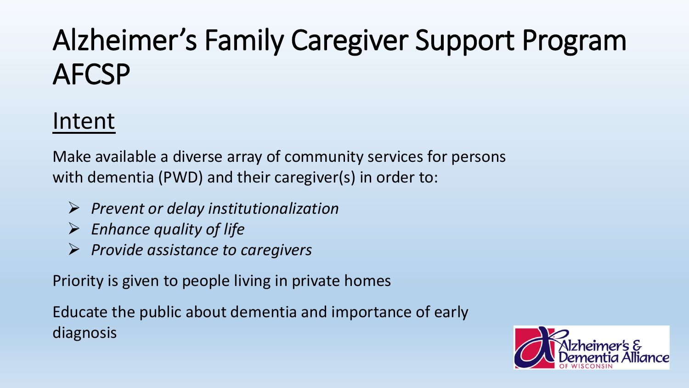#### Intent

Make available a diverse array of community services for persons with dementia (PWD) and their caregiver(s) in order to:

- *Prevent or delay institutionalization*
- *Enhance quality of life*
- *Provide assistance to caregivers*

Priority is given to people living in private homes

Educate the public about dementia and importance of early diagnosis

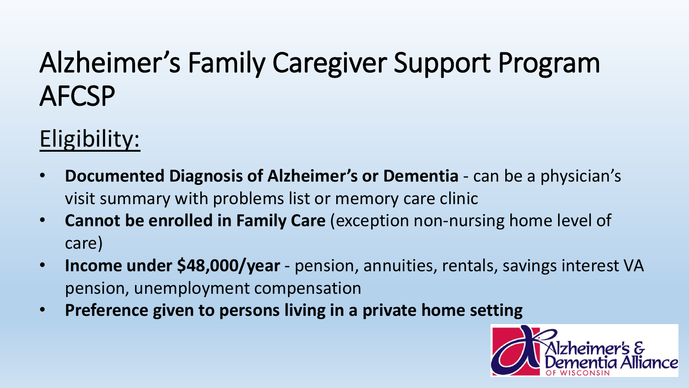### Eligibility:

- **Documented Diagnosis of Alzheimer's or Dementia**  can be a physician's visit summary with problems list or memory care clinic
- **Cannot be enrolled in Family Care** (exception non-nursing home level of care)
- **Income under \$48,000/year** pension, annuities, rentals, savings interest VA pension, unemployment compensation
- **Preference given to persons living in a private home setting**

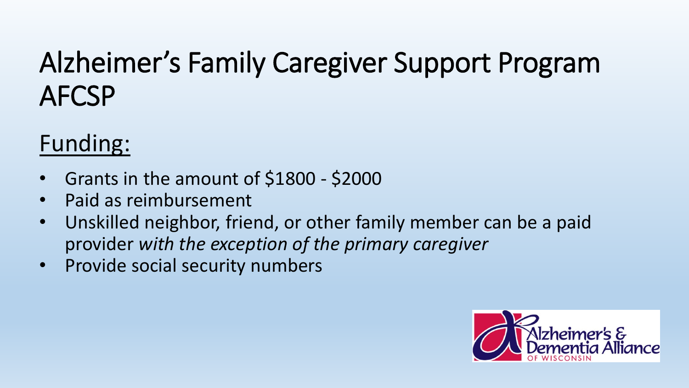#### Funding:

- Grants in the amount of \$1800 \$2000
- Paid as reimbursement
- Unskilled neighbor, friend, or other family member can be a paid provider *with the exception of the primary caregiver*
- Provide social security numbers

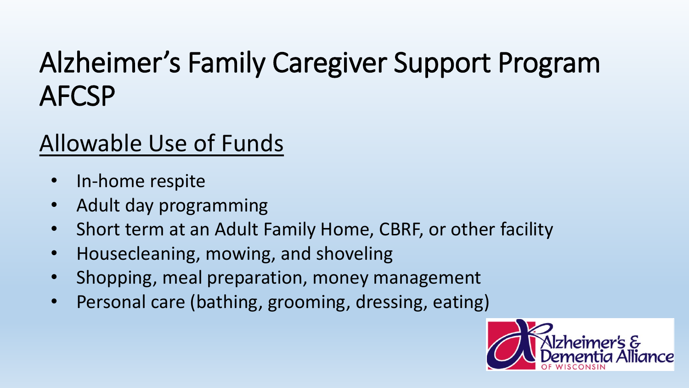- In-home respite
- Adult day programming
- Short term at an Adult Family Home, CBRF, or other facility
- Housecleaning, mowing, and shoveling
- Shopping, meal preparation, money management
- Personal care (bathing, grooming, dressing, eating)

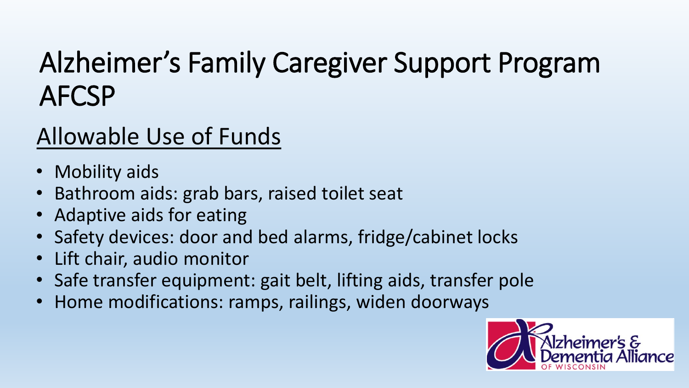- Mobility aids
- Bathroom aids: grab bars, raised toilet seat
- Adaptive aids for eating
- Safety devices: door and bed alarms, fridge/cabinet locks
- Lift chair, audio monitor
- Safe transfer equipment: gait belt, lifting aids, transfer pole
- Home modifications: ramps, railings, widen doorways

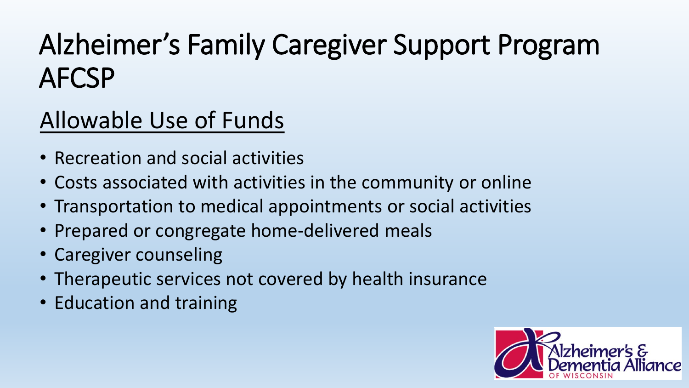- Recreation and social activities
- Costs associated with activities in the community or online
- Transportation to medical appointments or social activities
- Prepared or congregate home-delivered meals
- Caregiver counseling
- Therapeutic services not covered by health insurance
- Education and training

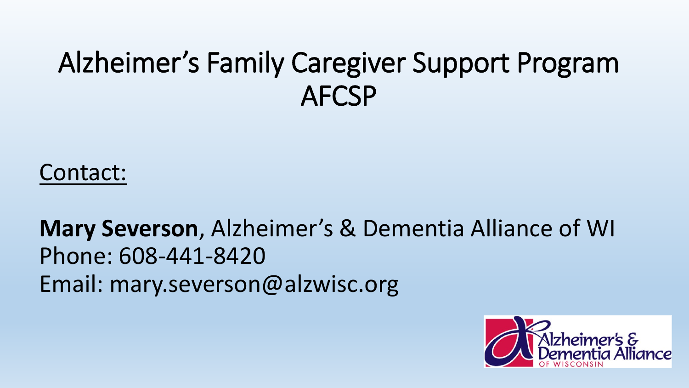Contact:

**Mary Severson**, Alzheimer's & Dementia Alliance of WI Phone: 608-441-8420 Email: mary.severson@alzwisc.org

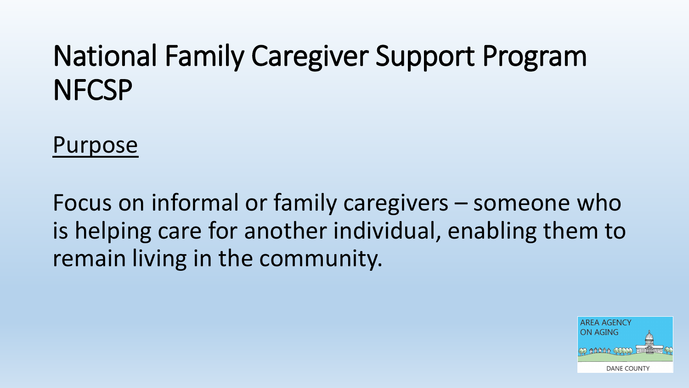Purpose

Focus on informal or family caregivers – someone who is helping care for another individual, enabling them to remain living in the community.

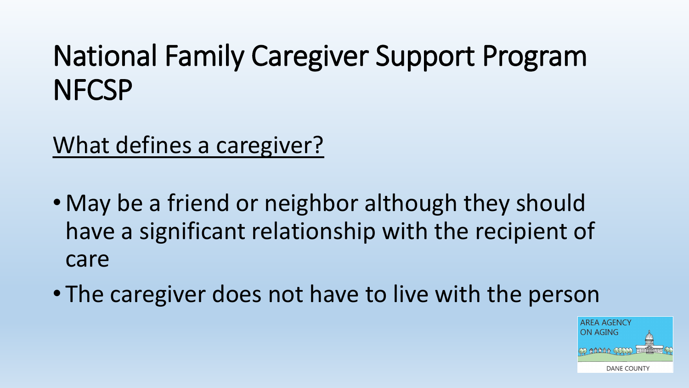What defines a caregiver?

- May be a friend or neighbor although they should have a significant relationship with the recipient of care
- The caregiver does not have to live with the person

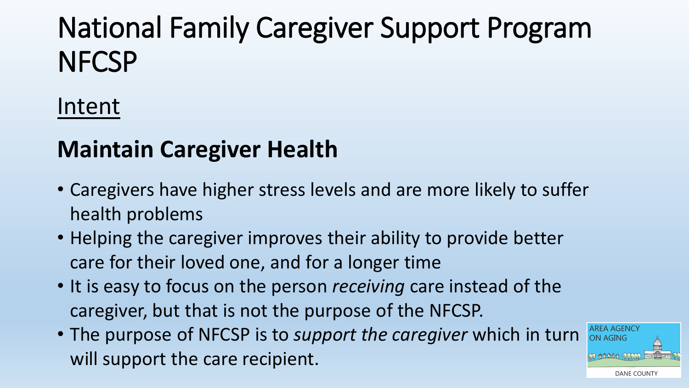#### Intent

#### **Maintain Caregiver Health**

- Caregivers have higher stress levels and are more likely to suffer health problems
- Helping the caregiver improves their ability to provide better care for their loved one, and for a longer time
- It is easy to focus on the person *receiving* care instead of the caregiver, but that is not the purpose of the NFCSP.
- The purpose of NFCSP is to *support the caregiver* which in turn will support the care recipient.

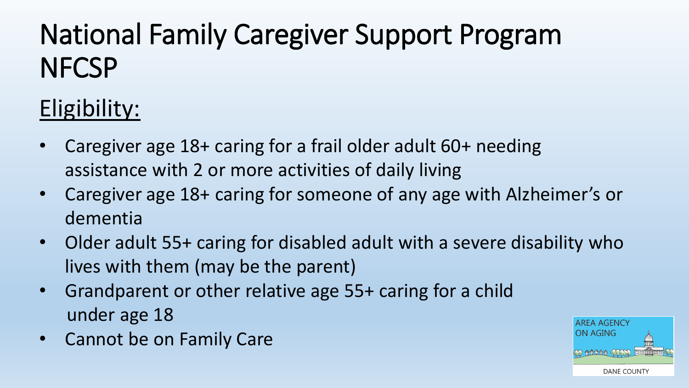#### Eligibility:

- Caregiver age 18+ caring for a frail older adult 60+ needing assistance with 2 or more activities of daily living
- Caregiver age 18+ caring for someone of any age with Alzheimer's or dementia
- Older adult 55+ caring for disabled adult with a severe disability who lives with them (may be the parent)
- Grandparent or other relative age 55+ caring for a child under age 18
- Cannot be on Family Care

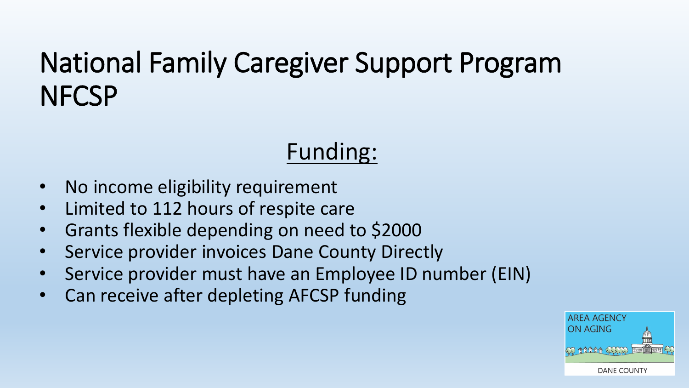#### Funding:

- No income eligibility requirement
- Limited to 112 hours of respite care
- Grants flexible depending on need to \$2000
- Service provider invoices Dane County Directly
- Service provider must have an Employee ID number (EIN)
- Can receive after depleting AFCSP funding

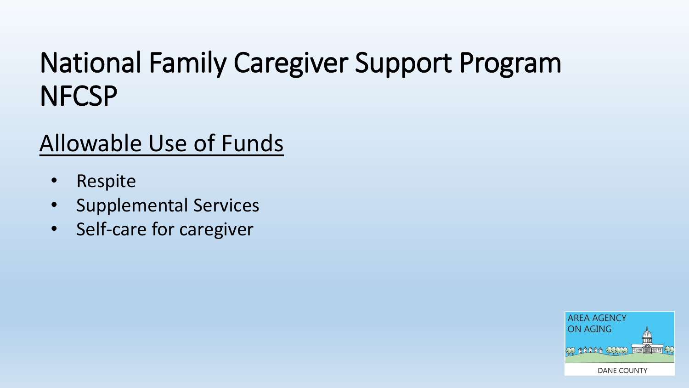- Respite
- Supplemental Services
- Self-care for caregiver